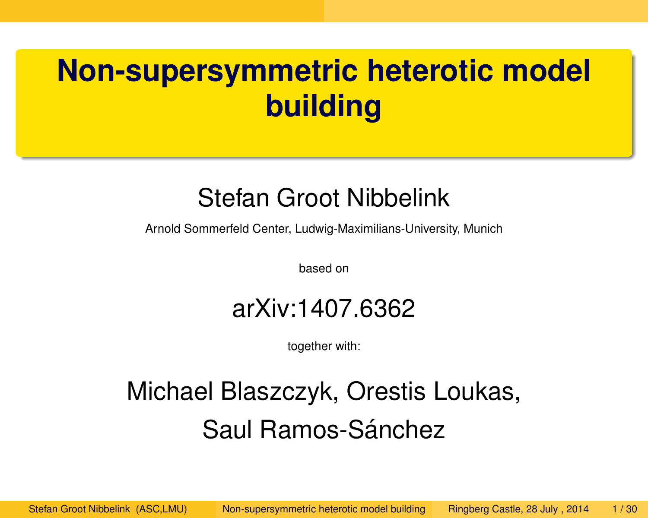# **Non-supersymmetric heterotic model building**

#### Stefan Groot Nibbelink

Arnold Sommerfeld Center, Ludwig-Maximilians-University, Munich

based on

#### arXiv:1407.6362

<span id="page-0-0"></span>together with:

#### Michael Blaszczyk, Orestis Loukas, Saul Ramos-Sánchez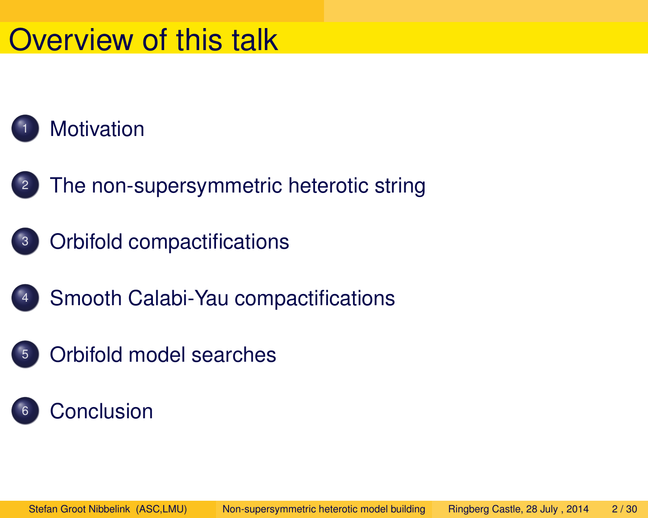#### Overview of this talk



- <sup>2</sup> [The non-supersymmetric heterotic string](#page-8-0)
- <sup>3</sup> [Orbifold compactifications](#page-15-0)
	- [Smooth Calabi-Yau compactifications](#page-19-0)
- <sup>5</sup> [Orbifold model searches](#page-25-0)
- **[Conclusion](#page-28-0)**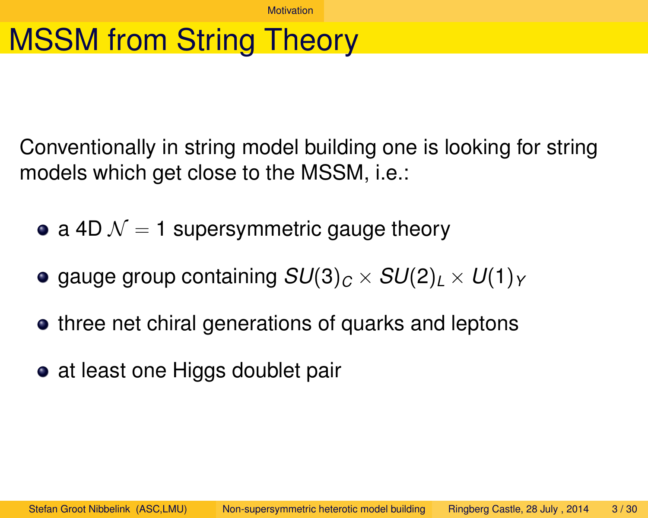**[Motivation](#page-2-0)** 

## MSSM from String Theory

Conventionally in string model building one is looking for string models which get close to the MSSM, i.e.:

- a 4D  $\mathcal{N} = 1$  supersymmetric gauge theory
- gauge group containing  $SU(3)_C \times SU(2)_L \times U(1)_Y$
- o three net chiral generations of quarks and leptons
- <span id="page-2-0"></span>• at least one Higgs doublet pair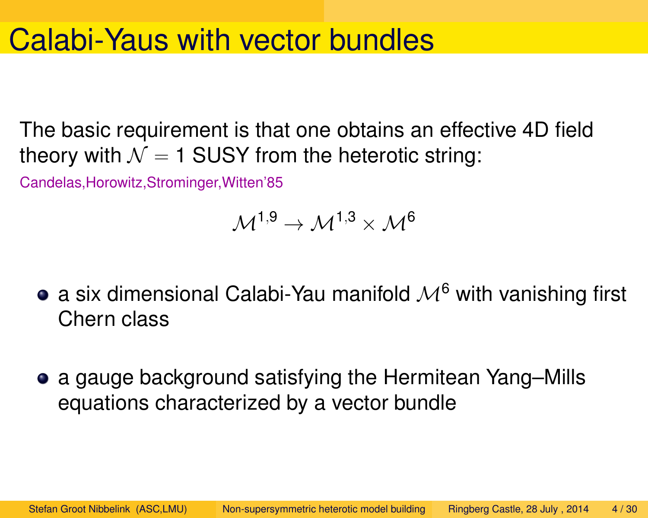#### Calabi-Yaus with vector bundles

The basic requirement is that one obtains an effective 4D field theory with  $\mathcal{N} = 1$  SUSY from the heterotic string:

Candelas,Horowitz,Strominger,Witten'85

$$
\mathcal{M}^{1,9} \to \mathcal{M}^{1,3} \times \mathcal{M}^6
$$

- a six dimensional Calabi-Yau manifold  $\mathcal{M}^6$  with vanishing first Chern class
- a gauge background satisfying the Hermitean Yang–Mills equations characterized by a vector bundle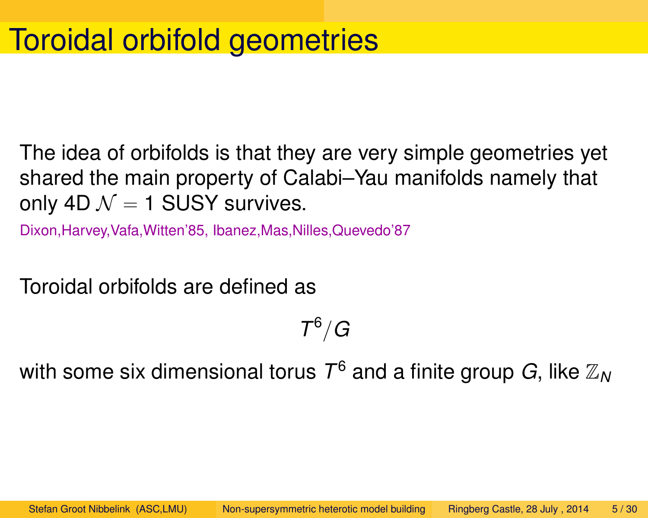The idea of orbifolds is that they are very simple geometries yet shared the main property of Calabi–Yau manifolds namely that only 4D  $\mathcal{N} = 1$  SUSY survives.

Dixon,Harvey,Vafa,Witten'85, Ibanez,Mas,Nilles,Quevedo'87

Toroidal orbifolds are defined as

 $\mathcal{T}^6/G$ 

with some six dimensional torus  $\mathcal{T}^6$  and a finite group  $G$ , like  $\mathbb{Z}_N$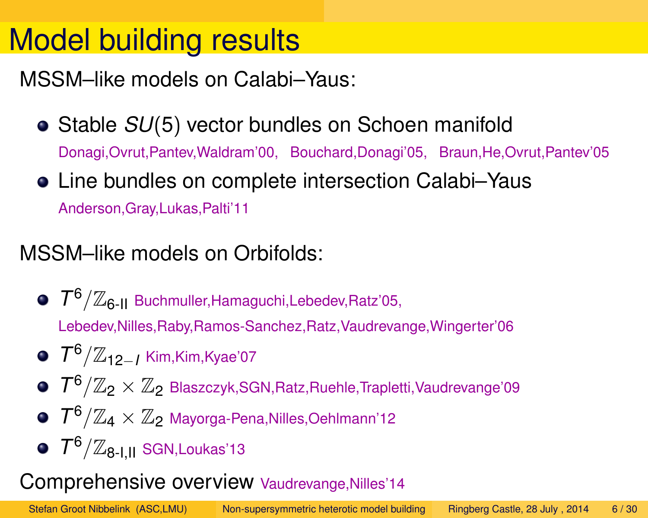## Model building results

MSSM–like models on Calabi–Yaus:

- **Stable** *SU***(5) vector bundles on Schoen manifold** Donagi,Ovrut,Pantev,Waldram'00, Bouchard,Donagi'05, Braun,He,Ovrut,Pantev'05
- Line bundles on complete intersection Calabi–Yaus Anderson,Gray,Lukas,Palti'11

#### MSSM–like models on Orbifolds:

- *T* <sup>6</sup>/Z6-II Buchmuller,Hamaguchi,Lebedev,Ratz'05, Lebedev,Nilles,Raby,Ramos-Sanchez,Ratz,Vaudrevange,Wingerter'06
- *T* <sup>6</sup>/Z12−*<sup>I</sup>* Kim,Kim,Kyae'07
- $7^6/\mathbb{Z}_2\times\mathbb{Z}_2$  Blaszczyk,SGN,Ratz,Ruehle,Trapletti,Vaudrevange'09
- $T^6/\mathbb{Z}_4 \times \mathbb{Z}_2$  Mayorga-Pena, Nilles, Oehlmann'12
- *T* <sup>6</sup>/Z8-I,II SGN,Loukas'13

#### Comprehensive overview Vaudrevange,Nilles'14

Stefan Groot Nibbelink (ASC,LMU) [Non-supersymmetric heterotic model building](#page-0-0) Ringberg Castle, 28 July , 2014 6 / 30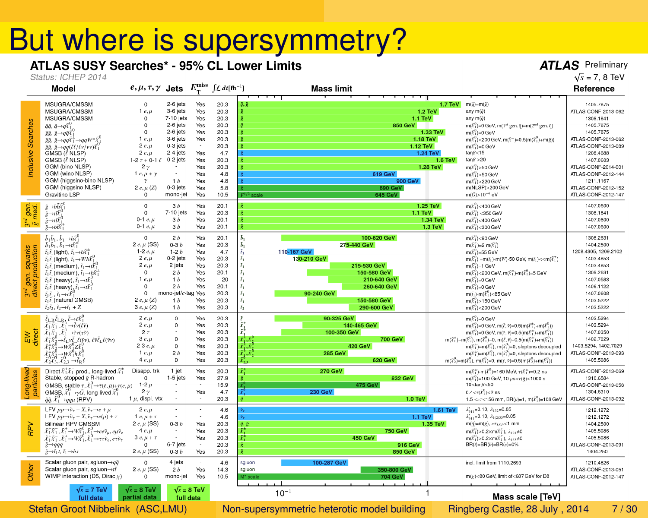# But where is supersymmetry?

Status: ICHEP 2014

|                                                       | <b>Model</b>                                                                                                                                                                                                                                                                                                                                                                                                                                                                                                                                                                                                                                                                                                                                                                                                                                   | $e, \mu, \tau, \gamma$ Jets                                                                                                                                                          |                                                                                                                                                                          | $E_{\rm T}^{\rm miss}$                                                                                              | $\int \mathcal{L} dt$ [fb <sup>-1</sup> ]                                                                | <b>Mass limit</b>                                                                                                                                                                                                                                                                                                                                           |                                                                                                                                                                                                                                                                                                                                                                                                                                                                                                                                                                                                                                                                                                                                                                                                     | Reference                                                                                                                                                                                                                                                |
|-------------------------------------------------------|------------------------------------------------------------------------------------------------------------------------------------------------------------------------------------------------------------------------------------------------------------------------------------------------------------------------------------------------------------------------------------------------------------------------------------------------------------------------------------------------------------------------------------------------------------------------------------------------------------------------------------------------------------------------------------------------------------------------------------------------------------------------------------------------------------------------------------------------|--------------------------------------------------------------------------------------------------------------------------------------------------------------------------------------|--------------------------------------------------------------------------------------------------------------------------------------------------------------------------|---------------------------------------------------------------------------------------------------------------------|----------------------------------------------------------------------------------------------------------|-------------------------------------------------------------------------------------------------------------------------------------------------------------------------------------------------------------------------------------------------------------------------------------------------------------------------------------------------------------|-----------------------------------------------------------------------------------------------------------------------------------------------------------------------------------------------------------------------------------------------------------------------------------------------------------------------------------------------------------------------------------------------------------------------------------------------------------------------------------------------------------------------------------------------------------------------------------------------------------------------------------------------------------------------------------------------------------------------------------------------------------------------------------------------------|----------------------------------------------------------------------------------------------------------------------------------------------------------------------------------------------------------------------------------------------------------|
| Inclusive Searches                                    | MSUGRA/CMSSM<br>MSUGRA/CMSSM<br>MSUGRA/CMSSM<br>$\tilde{q}\tilde{q}, \tilde{q} \rightarrow q\tilde{\chi}^0_1$<br>$\tilde{g}\tilde{g}, \tilde{g} \rightarrow q\bar{q}\tilde{\chi}$<br>$\tilde{g}\tilde{g}, \tilde{g} \rightarrow qq\tilde{\chi}_{1}^{\pm} \rightarrow qqW^{\pm}\tilde{\chi}_{2}^{\pm}$<br>$\tilde{g}\tilde{g}, \tilde{g} \rightarrow qq(l\ell/\ell\nu/\nu\nu)\tilde{\chi}_{1}^{\nu}$<br>GMSB $(\tilde{\ell}$ NLSP)<br>GMSB ( $\tilde{\ell}$ NLSP)<br>GGM (bino NLSP)<br>GGM (wino NLSP)<br>GGM (higgsino-bino NLSP)<br>GGM (higgsino NLSP)<br>Gravitino LSP                                                                                                                                                                                                                                                                     | $\circ$<br>1 $e, \mu$<br>0<br>$\Omega$<br>$\Omega$<br>$1e,\mu$<br>$2e, \mu$<br>2 $e, \mu$<br>$1-2 \tau + 0-1$<br>$2\gamma$<br>1 $e, \mu + \gamma$<br>γ<br>2 $e, \mu$ (Z)<br>$\Omega$ | 2-6 jets<br>3-6 jets<br>7-10 jets<br>2-6 jets<br>2-6 jets<br>3-6 jets<br>0-3 jets<br>2-4 jets<br>0-2 jets<br>1 <sub>b</sub><br>0-3 jets<br>mono-jet                      | Yes<br>Yes<br>Yes<br>Yes<br>Yes<br>Yes<br>$\overline{\phantom{a}}$<br>Yes<br>Yes<br>Yes<br>Yes<br>Yes<br>Yes<br>Yes | 20.3<br>20.3<br>20.3<br>20.3<br>20.3<br>20.3<br>20.3<br>4.7<br>20.3<br>20.3<br>4.8<br>4.8<br>5.8<br>10.5 | ğ, ğ<br>$1.2$ TeV<br>$1.1$ TeV<br>850 GeV<br>1.33 TeV<br>1.18 TeV<br>1.12 TeV<br>1.24 TeV<br>1.28 TeV<br>619 GeV<br>900 GeV<br>690 GeV<br>645 GeV<br>$F^{1/2}$ scale                                                                                                                                                                                        | $m(\tilde{q}) = m(\tilde{q})$<br><b>1.7 TeV</b><br>any m $(\tilde{q})$<br>any m( $\tilde{q}$ )<br>$m(\tilde{\chi}_1^0)$ =0 GeV, m(1 <sup>st</sup> gen. q̃)=m(2 <sup>nd</sup> gen. q̃)<br>$m(\tilde{X}_1^0) = 0$ GeV<br>$m(\tilde{\chi}_1^0)$ < 200 GeV, $m(\tilde{\chi}^{\pm})$ =0.5(m( $\tilde{\chi}_1^0$ )+m( $\tilde{g}$ ))<br>$m(\tilde{X}_1^0) = 0$ GeV<br>$tan\beta < 15$<br>$tan\beta > 20$<br>$1.6$ TeV<br>$m(\tilde{X}_1^0)$ >50 GeV<br>$m(\tilde{\chi}_1^0)$ >50 GeV<br>$m(\tilde{X}_1^0)$ > 220 GeV<br>m(NLSP)>200 GeV<br>$m(\tilde{G}) > 10^{-4}$ eV                                                                                                                                                                                                                                    | 1405.7875<br>ATLAS-CONF-2013-062<br>1308.1841<br>1405.7875<br>1405.7875<br>ATLAS-CONF-2013-062<br>ATLAS-CONF-2013-089<br>1208.4688<br>1407.0603<br>ATLAS-CONF-2014-001<br>ATLAS-CONF-2012-144<br>1211.1167<br>ATLAS-CONF-2012-152<br>ATLAS-CONF-2012-147 |
| <sup>d</sup> gen.<br>med.<br>$\frac{3^{rd}}{8}$       | $\tilde{g} \rightarrow b\bar{b}\tilde{\chi}$<br>$\tilde{g} \rightarrow t\tilde{t}\tilde{\chi}_{1}^{0}$<br>$\tilde{g} \rightarrow t\tilde{t}\tilde{\chi}$<br>$\tilde{g} \rightarrow b\bar{t}\tilde{\chi}$                                                                                                                                                                                                                                                                                                                                                                                                                                                                                                                                                                                                                                       | $\Omega$<br>$\mathbf 0$<br>0-1 $e,\mu$<br>0-1 $e, \mu$                                                                                                                               | 3 <sub>b</sub><br>7-10 jets<br>3 <sub>b</sub><br>3 <sub>b</sub>                                                                                                          | Yes<br>Yes<br>Yes<br>Yes                                                                                            | 20.1<br>20.3<br>20.1<br>20.1                                                                             | 1.25 TeV<br>$1.1$ TeV<br>1.34 TeV<br>1.3 TeV                                                                                                                                                                                                                                                                                                                | $m(\tilde{X}_1^0)$ < 400 GeV<br>$m(\tilde{\chi}_1^0)$ < 350 GeV<br>$m(\tilde{X}_1^0)$ <400 GeV<br>$m(\tilde{X}_1^0)$ < 300 GeV                                                                                                                                                                                                                                                                                                                                                                                                                                                                                                                                                                                                                                                                      | 1407.0600<br>1308.1841<br>1407.0600<br>1407.0600                                                                                                                                                                                                         |
| squarks<br>gen.<br>ect pro<br>3 <sup>nd</sup><br>dire | $\tilde{b}_1 \tilde{b}_1, \tilde{b}_1 \rightarrow b \tilde{\chi}_1^0$<br>$\tilde{b}_1 \tilde{b}_1, \tilde{b}_1 \rightarrow t \tilde{X}_1^{\pm}$<br>$\tilde{t}_1 \tilde{t}_1$ (light), $\tilde{t}_1 \rightarrow b \tilde{X}_1^{\pm}$<br>$\tilde{t}_1 \tilde{t}_1$ (light), $\tilde{t}_1 \rightarrow Wb\tilde{X}_1$<br>$\tilde{t}_1\tilde{t}_1$ (medium), $\tilde{t}_1 \rightarrow t\tilde{X}_1$<br>$\tilde{t}_1 \tilde{t}_1$ (medium), $\tilde{t}_1 \rightarrow b \tilde{X}_1^+$<br>$\tilde{t}_1 \tilde{t}_1$ (heavy), $\tilde{t}_1 \rightarrow t \tilde{X}_1$<br>$\tilde{t}_1 \tilde{t}_1$ (heavy), $\tilde{t}_1 \rightarrow t \tilde{X}_1^0$<br>$\tilde{t}_1\tilde{t}_1$ , $\tilde{t}_1 \rightarrow c\tilde{X}_1$<br>$\tilde{t}_1\tilde{t}_1$ (natural GMSB)<br>$\tilde{t}_2\tilde{t}_2, \tilde{t}_2 \rightarrow \tilde{t}_1 + Z$             | 0<br>$2 e, \mu$ (SS)<br>1-2 $e, \mu$<br>$2e, \mu$<br>$2e, \mu$<br>0<br>1 $e, \mu$<br>$\mathbf 0$<br>0<br>$2 e, \mu (Z)$<br>$3 e, \mu (Z)$                                            | 2 <sub>b</sub><br>$0-3b$<br>$1-2b$<br>0-2 jets<br>2 jets<br>2 <sub>b</sub><br>1 <sub>b</sub><br>2 <sub>b</sub><br>mono-jet/c-tag Yes<br>1 <sub>b</sub><br>1 <sub>b</sub> | Yes<br>Yes<br>Yes<br>Yes<br>Yes<br>Yes<br>Yes<br>Yes<br>Yes<br>Yes                                                  | 20.1<br>20.3<br>4.7<br>20.3<br>20.3<br>20.1<br>20<br>20.1<br>20.3<br>20.3<br>20.3                        | 100-620 GeV<br>$\tilde{b}_1$<br>275-440 GeV<br>$\tilde{b}_1$<br>$\tilde{t}_1$<br>110-167 GeV<br>130-210 GeV<br>$\tilde{t}_1$<br>215-530 GeV<br>$\tilde{t}_1$<br>150-580 GeV<br>$\tilde{t}_1$<br>$\tilde{t}_1$<br>210-640 GeV<br>$\tilde{t}_1$<br>260-640 GeV<br>90-240 GeV<br>$\tilde{t}_1$<br>150-580 GeV<br>$\tilde{t}_1$<br>$\tilde{t}_2$<br>290-600 GeV | $m(\tilde{X}_1^0)$ <90 GeV<br>$m(\tilde{\chi}_1^{\pm})=2~m(\tilde{\chi}_1^0)$<br>$m(\tilde{X}_1^0)$ =55 GeV<br>$m(\tilde{X}_1^0) = m(\tilde{t}_1) - m(W) - 50$ GeV, $m(\tilde{t}_1) < m(\tilde{X}_1^+)$<br>$m(\tilde{\chi}_1^0)$ =1 GeV<br>$m(\tilde{X}_1)$ <200 GeV, $m(\tilde{X}_1^+)$ - $m(\tilde{X}_1^0)$ =5 GeV<br>$m(\tilde{X}_1^0) = 0$ GeV<br>$m(\tilde{X}_1^0) = 0$ GeV<br>$m(\tilde{t}_1)$ -m $(\tilde{X}_1^0)$ <85 GeV<br>$m(\tilde{X}_1^0)$ > 150 GeV<br>$m(\tilde{X}_1^0)$ < 200 GeV                                                                                                                                                                                                                                                                                                   | 1308.2631<br>1404.2500<br>1208.4305, 1209.2102<br>1403.4853<br>1403.4853<br>1308.2631<br>1407.0583<br>1406.1122<br>1407.0608<br>1403.5222<br>1403.5222                                                                                                   |
| EW<br>direct                                          | $\tilde{\ell}_{L,R}$ $\tilde{\ell}_{L,R}$ , $\tilde{\ell} \rightarrow \ell \tilde{\chi}_{1}^{0}$<br>$\tilde{\chi}_1^+ \tilde{\chi}_1^-$ , $\tilde{\chi}_1^+$ $\rightarrow$ $\tilde{\ell}$ $\nu$ ( $\ell \tilde{\nu}$ )<br>$\tilde{\chi}_1^+ \tilde{\chi}_1^-$ , $\tilde{\chi}_1^+$ $\rightarrow \tilde{\tau} \nu (\tau \tilde{\nu})$<br>$\tilde{\chi}_{1}^{\pm} \tilde{\chi}_{2}^{0} \rightarrow \tilde{\ell}_{L} \nu \tilde{\ell}_{L} \ell (\tilde{\gamma} \nu), \ell \tilde{\nu} \tilde{\ell}_{L} \ell (\tilde{\nu} \nu)$<br>$\tilde{\chi}_{1}^{\pm} \tilde{\chi}_{2}^{0} \rightarrow W \tilde{\chi}_{1}^{0} Z \tilde{\chi}_{1}^{0}$<br>$\tilde{\chi}_{1}^{\pm} \tilde{\chi}_{2}^{0} \rightarrow W \tilde{\chi}_{1}^{0} h \tilde{\chi}_{1}^{0}$<br>$\tilde{\chi}_2^0 \tilde{\chi}_3^0, \tilde{\chi}_{2,3}^0 \rightarrow \tilde{\ell}_R \ell$ | $2e, \mu$<br>$2e, \mu$<br>$2 \tau$<br>$3e, \mu$<br>2-3 $e, \mu$<br>1 $e, \mu$<br>4 $e, \mu$                                                                                          | 0<br>0<br>0<br>0<br>2 <sub>b</sub><br>0                                                                                                                                  | Yes<br>Yes<br>Yes<br>Yes<br>Yes<br>Yes<br>Yes                                                                       | 20.3<br>20.3<br>20.3<br>20.3<br>20.3<br>20.3<br>20.3                                                     | 90-325 GeV<br>$\tilde{X}_{\tilde{X}^{\pm}_{1}}^{\pm}$<br>140-465 GeV<br>100-350 GeV<br><b>700 GeV</b><br>420 GeV<br>$\tilde{\chi}^{\pm}_1,\tilde{\chi}$<br><b>285 GeV</b><br>620 GeV<br>$\chi_{2,3}^{\prime\prime}$                                                                                                                                         | $m(\tilde{X}_1^0) = 0$ GeV<br>$m(\tilde{\chi}_1^0)$ =0 GeV, m( $\tilde{\ell}$ , $\tilde{\nu}$ )=0.5(m( $\tilde{\chi}_1^{\pm}$ )+m( $\tilde{\chi}_1^0$ ))<br>$m(\tilde{\chi}_1^0)$ =0 GeV, m( $\tilde{\tau}$ , $\tilde{\nu}$ )=0.5(m( $\tilde{\chi}_1^{\pm}$ )+m( $\tilde{\chi}_1^0$ ))<br>$m(\tilde{\chi}_1^{\pm}) = m(\tilde{\chi}_2^0), m(\tilde{\chi}_1^0) = 0, m(\tilde{\ell}, \tilde{\nu}) = 0.5(m(\tilde{\chi}_1^{\pm}) + m(\tilde{\chi}_1^0))$<br>$m(\tilde{X}_1^{\pm})=m(\tilde{X}_2^0)$ , $m(\tilde{X}_1^0)=0$ , sleptons decoupled<br>$m(\tilde{\chi}_1^{\pm})=m(\tilde{\chi}_2^0)$ , $m(\tilde{\chi}_1^0)=0$ , sleptons decoupled<br>$m(\tilde{\chi}_2^0) = m(\tilde{\chi}_3^0), m(\tilde{\chi}_1^0) = 0, m(\tilde{\ell}, \tilde{\nu}) = 0.5(m(\tilde{\chi}_2^0) + m(\tilde{\chi}_1^0))$ | 1403.5294<br>1403.5294<br>1407.0350<br>1402.7029<br>1403.5294, 1402.7029<br>ATLAS-CONF-2013-093<br>1405.5086                                                                                                                                             |
| Long-lived                                            | Direct $\tilde{\chi}_1^+\tilde{\chi}_1^-$ prod., long-lived $\tilde{\chi}_1^{\pm}$<br>Stable, stopped $\tilde{g}$ R-hadron<br>GMSB, stable $\tilde{\tau}$ , $\tilde{\chi}^0_1 \rightarrow \tilde{\tau}(\tilde{e}, \tilde{\mu}) + \tau(e, \mu)$<br>GMSB, $\tilde{\chi}_1^0 \rightarrow \gamma \tilde{G}$ , long-lived $\tilde{\chi}_1^0$<br>$\tilde{q}\tilde{q}, \tilde{\chi}^0_1 \rightarrow qq\mu$ (RPV)                                                                                                                                                                                                                                                                                                                                                                                                                                      | Disapp. trk<br>$\Omega$<br>1-2 $\mu$<br>$2\gamma$<br>1 $\mu$ , displ. vtx                                                                                                            | 1 jet<br>$1-5$ jets                                                                                                                                                      | Yes<br>Yes<br>Yes                                                                                                   | 20.3<br>27.9<br>15.9<br>4.7<br>20.3                                                                      | <b>270 GeV</b><br>832 GeV<br>475 GeV<br><b>230 GeV</b><br><b>1.0 TeV</b>                                                                                                                                                                                                                                                                                    | $m(\tilde{\chi}_1^{\pm})-m(\tilde{\chi}_1^0)=160$ MeV, $\tau(\tilde{\chi}_1^{\pm})=0.2$ ns<br>$m(\tilde{X}_1^0)$ =100 GeV, 10 $\mu$ s< $\tau(\tilde{g})$ <1000 s<br>10 <tan<math>\beta&lt;50<br/><math>0.4 &lt; \tau(\tilde{X}_1^0) &lt; 2</math> ns<br/>1.5 <c<math>\tau&lt;156 mm, BR(<math>\mu</math>)=1, m(<math>\tilde{X}^0</math>)=108 GeV</c<math></tan<math>                                                                                                                                                                                                                                                                                                                                                                                                                                | ATLAS-CONF-2013-069<br>1310.6584<br>ATLAS-CONF-2013-058<br>1304.6310<br>ATLAS-CONF-2013-092                                                                                                                                                              |
| RPV                                                   | LFV $pp\rightarrow \tilde{\nu}_{\tau} + X, \tilde{\nu}_{\tau} \rightarrow e + \mu$<br>LFV $pp\rightarrow \tilde{\nu}_{\tau} + X, \tilde{\nu}_{\tau} \rightarrow e(\mu) + \tau$<br><b>Bilinear RPV CMSSM</b><br>$\tilde{\chi}_{1}^{+}\tilde{\chi}_{1}^{-}$ , $\tilde{\chi}_{1}^{+} \rightarrow W \tilde{\chi}_{1}^{0}$ , $\tilde{\chi}_{1}^{0} \rightarrow ee \tilde{\nu}_{u}, e \mu \tilde{\nu}_{e}$<br>$\tilde{\chi}_{1}^{\dagger} \tilde{\chi}_{1}^{\dagger}, \tilde{\chi}_{1}^{\dagger} \rightarrow W \tilde{\chi}_{1}^{0}, \tilde{\chi}_{1}^{0} \rightarrow \tau \tau \tilde{\nu}_{e}, e \tau \tilde{\nu}_{\tau}$<br>$\tilde{g} \rightarrow qqq$<br>$\tilde{g} \rightarrow \tilde{t}_1 t$ , $\tilde{t}_1 \rightarrow bs$                                                                                                                   | $2e, \mu$<br>1 $e, \mu + \tau$<br>2 $e, \mu$ (SS)<br>$4e, \mu$<br>3 $e, \mu + \tau$<br>$\Omega$<br>2 $e, \mu$ (SS)                                                                   | $0 - 3 b$<br>6-7 jets<br>$0-3b$                                                                                                                                          | $\sim$<br>Yes<br>Yes<br>Yes<br>Yes                                                                                  | 4.6<br>4.6<br>20.3<br>20.3<br>20.3<br>20.3<br>20.3                                                       | ĩ.<br>$1.1$ TeV<br>$\tilde{q}, \tilde{g}$<br>1.35 TeV<br>$\tilde{\chi}^\pm_1$<br><b>750 GeV</b><br><b>450 GeV</b><br>916 GeV<br>850 GeV                                                                                                                                                                                                                     | 1.61 TeV<br>$\lambda'_{311}$ =0.10, $\lambda_{132}$ =0.05<br>$\lambda'_{311}$ =0.10, $\lambda_{1(2)33}$ =0.05<br>$m(\tilde{q})=m(\tilde{q})$ , $c\tau_{LSP}<1$ mm<br>$m(\tilde{X}_1^0)$ > 0.2 × $m(\tilde{X}_1^{\pm})$ , $\lambda_{121} \neq 0$<br>$m(\tilde{X}_1^0)$ > 0.2 × m( $\tilde{X}_1^{\pm}$ ), $\lambda_{133}$ $\neq$ 0<br>$BR(t)=BR(b)=BR(c)=0%$                                                                                                                                                                                                                                                                                                                                                                                                                                          | 1212.1272<br>1212.1272<br>1404.2500<br>1405.5086<br>1405.5086<br>ATLAS-CONF-2013-091<br>1404.250                                                                                                                                                         |
| Other                                                 | Scalar gluon pair, sgluon $\rightarrow q\bar{q}$<br>Scalar gluon pair, sgluon $\rightarrow t\bar{t}$<br>WIMP interaction (D5, Dirac $\chi$ )                                                                                                                                                                                                                                                                                                                                                                                                                                                                                                                                                                                                                                                                                                   | $\mathbf 0$<br>2 $e, \mu$ (SS)<br>$\Omega$                                                                                                                                           | 4 jets<br>2 <sub>b</sub><br>mono-jet                                                                                                                                     | Yes<br>Yes                                                                                                          | 4.6<br>14.3<br>10.5                                                                                      | 100-287 GeV<br>sgluon<br>sgluon<br>350-800 GeV<br>704 GeV<br>M* scale                                                                                                                                                                                                                                                                                       | incl. limit from 1110.2693<br>$m(\chi)$ <80 GeV, limit of<687 GeV for D8                                                                                                                                                                                                                                                                                                                                                                                                                                                                                                                                                                                                                                                                                                                            | 1210.4826<br>ATLAS-CONF-2013-051<br>ATLAS-CONF-2012-147                                                                                                                                                                                                  |
|                                                       | $\sqrt{s}$ = 7 TeV<br>full data                                                                                                                                                                                                                                                                                                                                                                                                                                                                                                                                                                                                                                                                                                                                                                                                                | $\sqrt{s}$ = 8 TeV<br>partial data                                                                                                                                                   | full data                                                                                                                                                                | $\sqrt{s}$ = 8 TeV                                                                                                  |                                                                                                          | $10^{-1}$                                                                                                                                                                                                                                                                                                                                                   | <b>Mass scale [TeV]</b>                                                                                                                                                                                                                                                                                                                                                                                                                                                                                                                                                                                                                                                                                                                                                                             |                                                                                                                                                                                                                                                          |

Stefan Groot Nibbelink (ASC,LMU) [Non-supersymmetric heterotic model building](#page-0-0) Ringberg Castle, 28 July , 2014 7/30

**ATLAS** Preliminary

 $\sqrt{s}$  = 7, 8 TeV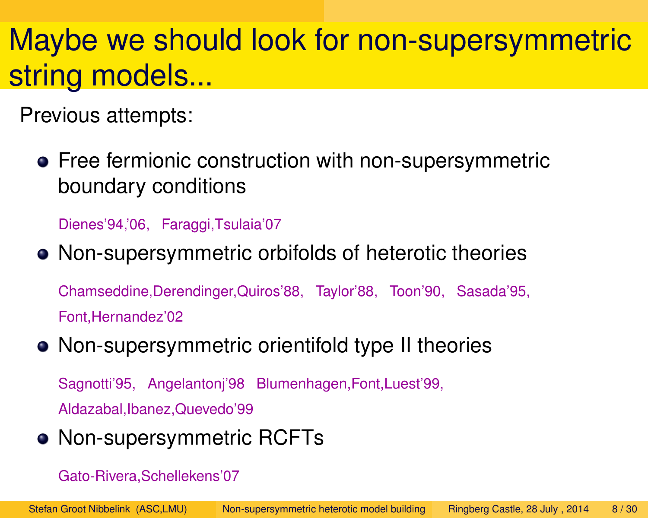## Maybe we should look for non-supersymmetric string models...

Previous attempts:

**•** Free fermionic construction with non-supersymmetric boundary conditions

Dienes'94,'06, Faraggi,Tsulaia'07

#### Non-supersymmetric orbifolds of heterotic theories

Chamseddine,Derendinger,Quiros'88, Taylor'88, Toon'90, Sasada'95, Font,Hernandez'02

#### Non-supersymmetric orientifold type II theories

Sagnotti'95, Angelantonj'98 Blumenhagen,Font,Luest'99, Aldazabal,Ibanez,Quevedo'99

#### **• Non-supersymmetric RCFTs**

Gato-Rivera,Schellekens'07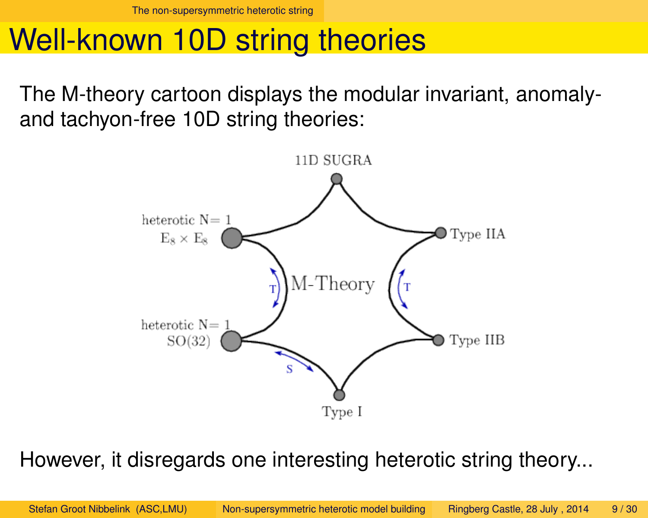#### Well-known 10D string theories

The M-theory cartoon displays the modular invariant, anomalyand tachyon-free 10D string theories:



<span id="page-8-0"></span>However, it disregards one interesting heterotic string theory...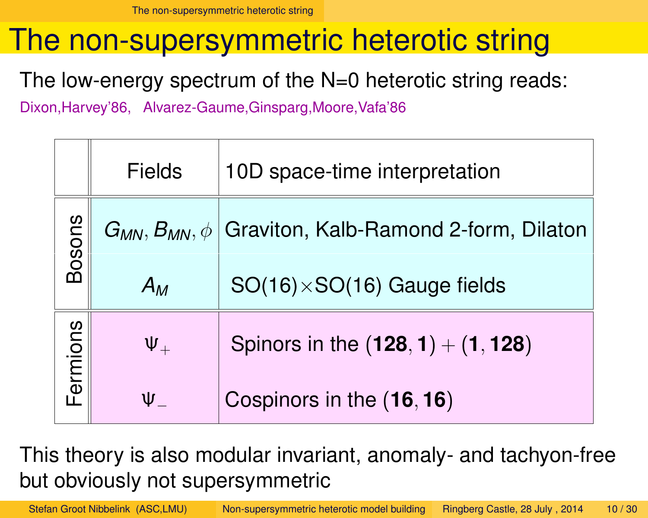#### The non-supersymmetric heterotic string

The low-energy spectrum of the N=0 heterotic string reads:

Dixon,Harvey'86, Alvarez-Gaume,Ginsparg,Moore,Vafa'86

|          | <b>Fields</b> | 10D space-time interpretation                                      |
|----------|---------------|--------------------------------------------------------------------|
| Bosons   |               | $G_{MN}$ , $B_{MN}$ , $\phi$ Graviton, Kalb-Ramond 2-form, Dilaton |
|          | $A_M$         | $SO(16)\times SO(16)$ Gauge fields                                 |
| Fermions | $\Psi_+$      | Spinors in the $(128, 1) + (1, 128)$                               |
|          | $\Psi_-$      | Cospinors in the (16, 16)                                          |

This theory is also modular invariant, anomaly- and tachyon-free but obviously not supersymmetric

<span id="page-9-0"></span>Stefan Groot Nibbelink (ASC,LMU) [Non-supersymmetric heterotic model building](#page-0-0) Ringberg Castle, 28 July , 2014 10/30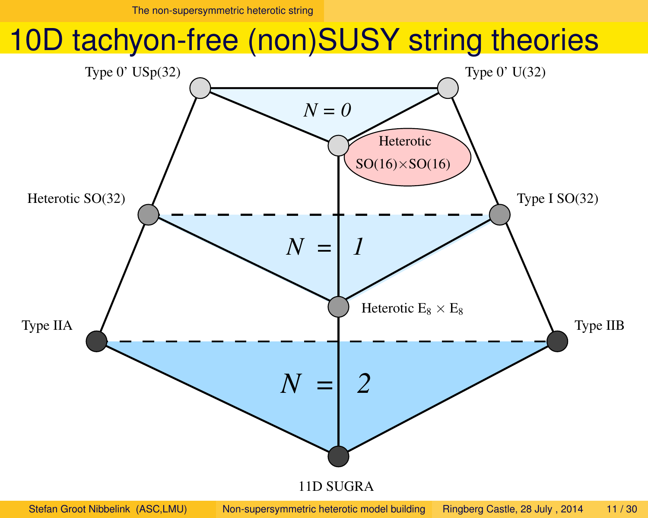#### 10D tachyon-free (non)SUSY string theories



<span id="page-10-0"></span>Stefan Groot Nibbelink (ASC,LMU) [Non-supersymmetric heterotic model building](#page-0-0) Ringberg Castle, 28 July , 2014 11/30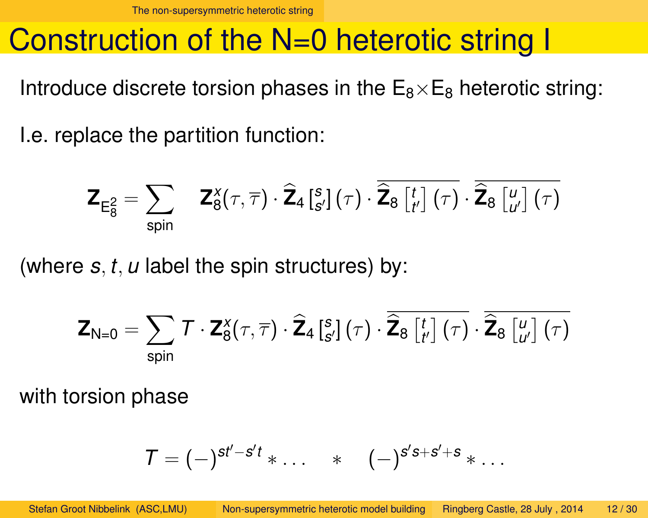#### Construction of the N=0 heterotic string I

Introduce discrete torsion phases in the  $E_8 \times E_8$  heterotic string:

I.e. replace the partition function:

$$
\boldsymbol{\mathsf{Z}}_{\mathsf{E}_{8}^{2}}=\sum_{\text{spin}}\boldsymbol{\mathsf{Z}}_{8}^{x}(\tau,\overline{\tau})\cdot\widehat{\boldsymbol{\mathsf{Z}}}_{4}\left[{}_{s'}^{s}\right](\tau)\cdot\overline{\widehat{\boldsymbol{\mathsf{Z}}}_{8}\left[{}_{t'}^{t}\right](\tau)}\cdot\overline{\widehat{\boldsymbol{\mathsf{Z}}}_{8}\left[{}_{u'}^{u}\right](\tau)}
$$

(where *s*, *t*, *u* label the spin structures) by:

$$
\mathbf{Z}_{\mathsf{N}=0} = \sum_{\mathsf{spin}} \mathcal{T} \cdot \mathbf{Z}_{8}^{\mathsf{X}}(\tau, \overline{\tau}) \cdot \widehat{\mathbf{Z}}_{4} \left[ {}_{\mathsf{S}'}^{s}\right] \left( \tau \right) \cdot \widehat{\mathbf{Z}}_{8} \left[ {}_{t'}^{t}\right] \left( \tau \right) \cdot \widehat{\mathbf{Z}}_{8} \left[ {}_{u'}^{u}\right] \left( \tau \right)
$$

with torsion phase

<span id="page-11-0"></span>
$$
\mathcal{T}=(-)^{st'-s't}\ast\ldots\quad \ast\quad (-)^{s's+s'+s}\ast\ldots
$$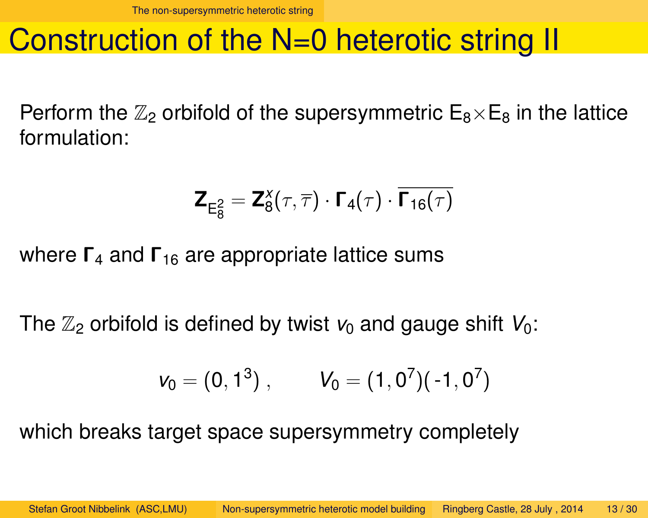#### Construction of the N=0 heterotic string II

Perform the  $\mathbb{Z}_2$  orbifold of the supersymmetric  $E_8\times E_8$  in the lattice formulation:

$$
\mathbf{Z}_{\mathrm{E}_8^2} = \mathbf{Z}_8^X(\tau, \overline{\tau}) \cdot \mathbf{\Gamma}_4(\tau) \cdot \overline{\mathbf{\Gamma}_{16}(\tau)}
$$

where  $\Gamma_4$  and  $\Gamma_{16}$  are appropriate lattice sums

The  $\mathbb{Z}_2$  orbifold is defined by twist  $v_0$  and gauge shift  $V_0$ :

<span id="page-12-0"></span>
$$
v_0=(0,1^3)\;,\qquad\;V_0=(1,0^7)(-1,0^7)
$$

which breaks target space supersymmetry completely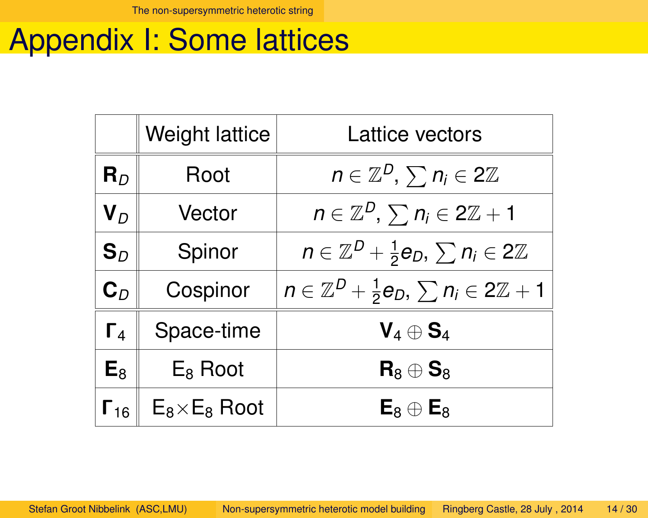#### Appendix I: Some lattices

<span id="page-13-0"></span>

|                        | <b>Weight lattice</b> | <b>Lattice vectors</b>                                              |
|------------------------|-----------------------|---------------------------------------------------------------------|
| ${\bf R}_D$            | Root                  | $n \in \mathbb{Z}^D$ , $\sum n_i \in 2\mathbb{Z}$                   |
| ${\bf V}_D$            | Vector                | $n \in \mathbb{Z}^D$ , $\sum n_i \in 2\mathbb{Z}+1$                 |
| $\mathbf{S}_D$         | Spinor                | $n \in \mathbb{Z}^D + \frac{1}{2}e_D, \sum n_i \in 2\mathbb{Z}$     |
| $\mathbf{C}_D$         | Cospinor              | $n \in \mathbb{Z}^D + \frac{1}{2}e_D, \sum n_i \in 2\mathbb{Z} + 1$ |
| $\Gamma_4$             | Space-time            | $\mathsf{V}_4\oplus \mathsf{S}_4$                                   |
| $E_8$                  | $E_8$ Root            | ${\sf R}_8\oplus {\sf S}_8$                                         |
| $\mathsf{\Gamma}_{16}$ | $E_8\times E_8$ Root  | $\mathsf{E}_8\oplus\mathsf{E}_8$                                    |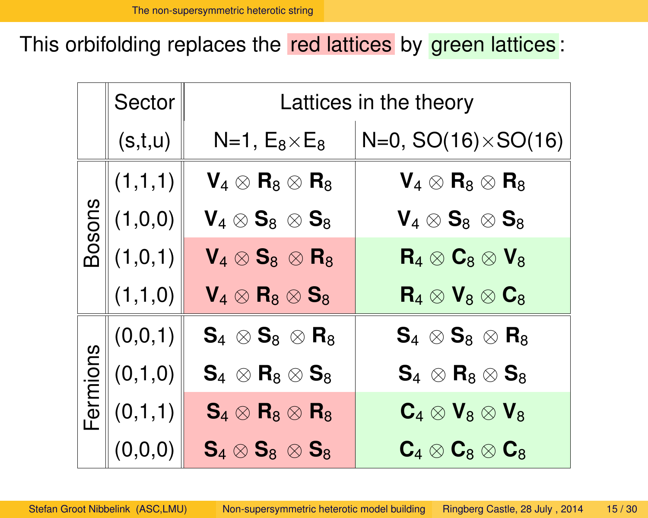This orbifolding replaces the red lattices by green lattices:

<span id="page-14-0"></span>

|          | Sector  | Lattices in the theory                                         |                                                                                                           |  |  |
|----------|---------|----------------------------------------------------------------|-----------------------------------------------------------------------------------------------------------|--|--|
|          | (s,t,u) | $N=1, E_8\times E_8$                                           | $N=0$ , SO(16) $\times$ SO(16)                                                                            |  |  |
|          | (1,1,1) | $\textbf{V}_4\otimes\textbf{R}_8\otimes\textbf{R}_8$           | $\textsf{V}_4\otimes\textsf{R}_8\otimes\textsf{R}_8$                                                      |  |  |
| Bosons   | (1,0,0) | $\textbf{V}_4\otimes\textbf{S}_8^-\otimes\textbf{S}_8^+$       | $\textbf{V}_4\otimes\textbf{S}_8^-\otimes\textbf{S}_8^+$                                                  |  |  |
|          | (1,0,1) | $\textbf{V}_4\otimes\textbf{S}_8^-\otimes\textbf{R}_8^$        | ${\sf R}_4\otimes{\sf C}_8\otimes{\sf V}_8$                                                               |  |  |
|          | (1,1,0) | $\textbf{V}_4\otimes\textbf{R}_8\otimes\textbf{S}_8$           | ${\sf R}_4\otimes {\sf V}_8\otimes {\sf C}_8$                                                             |  |  |
|          | (0,0,1) | $\textbf{S}_4 \, \otimes \textbf{S}_8 \, \otimes \textbf{R}_8$ | $\textsf{S}_4 \, \otimes \textsf{S}_8 \, \otimes \textsf{R}_8$                                            |  |  |
| Fermions | (0,1,0) | $\textbf{S}_4 \, \otimes \textbf{R}_8 \otimes \textbf{S}_8$    | $\textbf{S}_4^{\phantom{\dag}}\otimes \textbf{R}_8^{\phantom{\dag}}\otimes \textbf{S}_8^{\phantom{\dag}}$ |  |  |
|          | (0,1,1) | $\mathbf{S}_4\otimes\mathbf{R}_8\otimes\mathbf{R}_8$           | $\textsf{\textbf{C}}_4\otimes\textsf{\textbf{V}}_8\otimes\textsf{\textbf{V}}_8$                           |  |  |
|          | (0,0,0) | $\textbf{S}_4 \otimes \textbf{S}_8 \, \otimes \textbf{S}_8$    | $\textbf{C}_4 \otimes \textbf{C}_8 \otimes \textbf{C}_8$                                                  |  |  |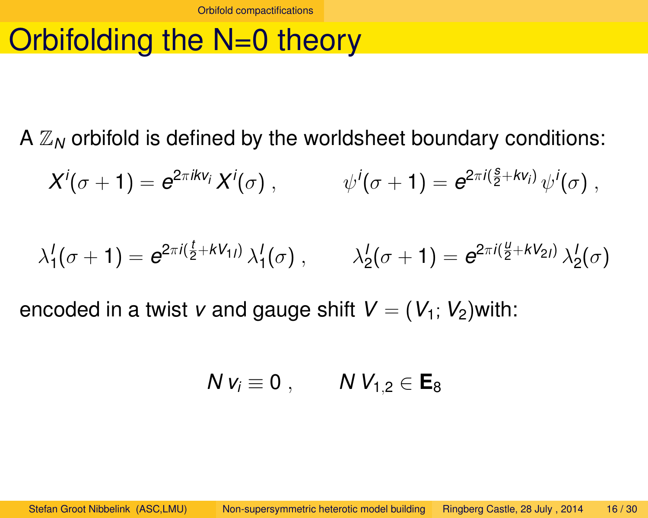## Orbifolding the N=0 theory

A  $\mathbb{Z}_N$  orbifold is defined by the worldsheet boundary conditions:

$$
X^i(\sigma+1)=e^{2\pi ikv_i}X^i(\sigma)\;,\qquad\qquad \psi^i(\sigma+1)=e^{2\pi i(\frac{s}{2}+kv_i)}\,\psi^i(\sigma)\;,
$$

$$
\lambda_1^l(\sigma+1) = e^{2\pi i (\frac{l}{2} + kV_{1l})} \lambda_1^l(\sigma) , \qquad \lambda_2^l(\sigma+1) = e^{2\pi i (\frac{u}{2} + kV_{2l})} \lambda_2^l(\sigma)
$$

encoded in a twist *v* and gauge shift  $V = (V_1; V_2)$  with:

<span id="page-15-0"></span>
$$
N v_i \equiv 0 \; , \qquad N V_{1,2} \in E_8
$$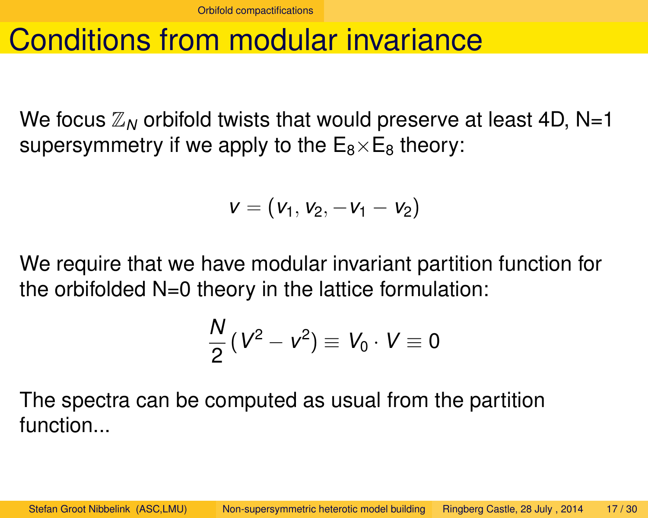#### Conditions from modular invariance

We focus  $\mathbb{Z}_N$  orbifold twists that would preserve at least 4D, N=1 supersymmetry if we apply to the  $E_8\times E_8$  theory:

$$
v=\left(v_1,v_2,-v_1-v_2\right)
$$

We require that we have modular invariant partition function for the orbifolded  $N=0$  theory in the lattice formulation:

<span id="page-16-0"></span>
$$
\frac{N}{2}(V^2 - v^2) \equiv V_0 \cdot V \equiv 0
$$

The spectra can be computed as usual from the partition function...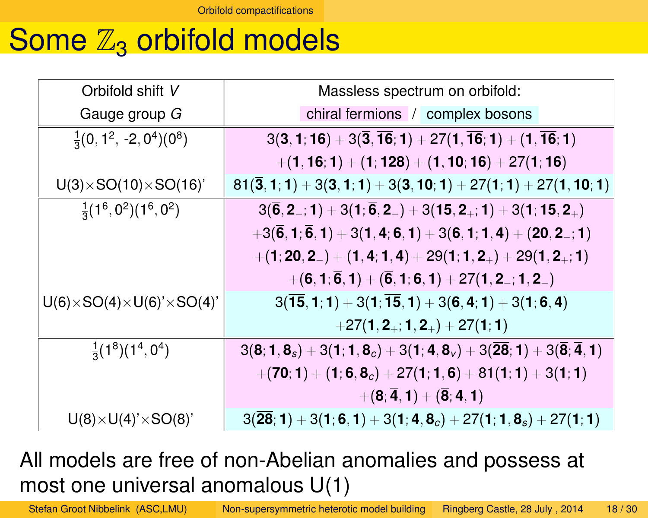#### Some  $\mathbb{Z}_3$  orbifold models

| Orbifold shift V                            | Massless spectrum on orbifold:                                                                        |
|---------------------------------------------|-------------------------------------------------------------------------------------------------------|
| Gauge group G                               | chiral fermions / complex bosons                                                                      |
| $\frac{1}{3}(0, 1^2, -2, 0^4)(0^8)$         | $3(3, 1, 16) + 3(\overline{3}, \overline{16}; 1) + 27(1, \overline{16}; 1) + (1, \overline{16}; 1)$   |
|                                             | $+(1, 16; 1) + (1; 128) + (1, 10; 16) + 27(1; 16)$                                                    |
| $U(3)\times SO(10)\times SO(16)$            | $81(3, 1; 1) + 3(3, 1; 1) + 3(3, 10; 1) + 27(1; 1) + 27(1, 10; 1)$                                    |
| $\frac{1}{3}(1^6, 0^2)(1^6, 0^2)$           | $3(\overline{6}, 2_{-}; 1) + 3(1; \overline{6}, 2_{-}) + 3(15, 2_{+}; 1) + 3(1; 15, 2_{+})$           |
|                                             | $+3(\overline{6},1;\overline{6},1)+3(1,4;6,1)+3(6,1;1,4)+(20,2-1)$                                    |
|                                             | $+(1, 20, 2_-) + (1, 4, 1, 4) + 29(1, 1, 2_+) + 29(1, 2_+; 1)$                                        |
|                                             | $+(6,1;\overline{6},1)+(\overline{6},1;6,1)+27(1,2_{-};1,2_{-})$                                      |
| $U(6)\times SO(4)\times U(6)'\times SO(4)'$ | $3(15, 1; 1) + 3(1; 15, 1) + 3(6, 4; 1) + 3(1; 6, 4)$                                                 |
|                                             | $+27(1, 2_+; 1, 2_+) + 27(1; 1)$                                                                      |
| $\frac{1}{3}(1^8)(1^4, 0^4)$                | $3(8; 1, 8_s) + 3(1; 1, 8_c) + 3(1; 4, 8_v) + 3(\overline{28}; 1) + 3(\overline{8}; \overline{4}, 1)$ |
|                                             | $+(70; 1) + (1; 6, 8_c) + 27(1; 1, 6) + 81(1; 1) + 3(1; 1)$                                           |
|                                             | $+(8;\overline{4},1)+(\overline{8};4,1)$                                                              |
| $U(8)\times U(4)'\times SO(8)'$             | $3(28; 1) + 3(1; 6, 1) + 3(1; 4, 8_c) + 27(1; 1, 8_s) + 27(1; 1)$                                     |

All models are free of non-Abelian anomalies and possess at most one universal anomalous U(1)

<span id="page-17-0"></span>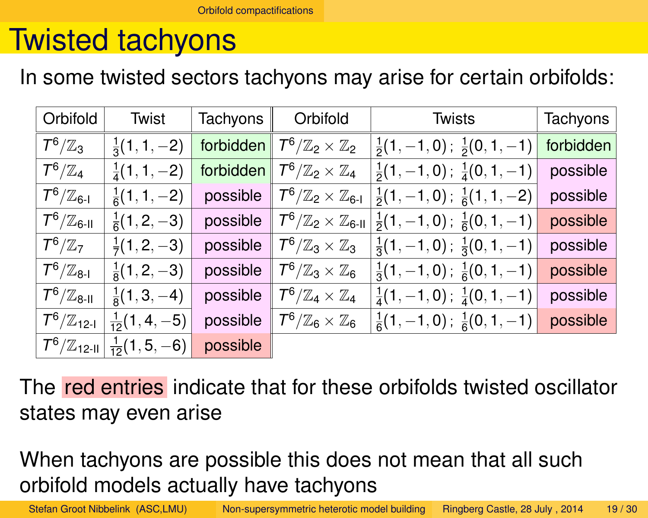#### Twisted tachyons

In some twisted sectors tachyons may arise for certain orbifolds:

| Orbifold                                            | <b>Twist</b>             | Tachyons  | Orbifold                                         | <b>Twists</b>                                 | <b>Tachyons</b> |
|-----------------------------------------------------|--------------------------|-----------|--------------------------------------------------|-----------------------------------------------|-----------------|
| $7^6/\mathbb{Z}_3$                                  | $\frac{1}{3}(1, 1, -2)$  | forbidden | $\mathcal{T}^6/\mathbb{Z}_2\times\mathbb{Z}_2$   | $\frac{1}{2}(1,-1,0); \frac{1}{2}(0,1,-1)$    | forbidden       |
| $\mathcal{T}^6/\mathbb{Z}_4$                        | $\frac{1}{4}(1, 1, -2)$  | forbidden | $\mathcal{T}^6/\mathbb{Z}_2 \times \mathbb{Z}_4$ | $\frac{1}{2}(1,-1,0); \frac{1}{4}(0,1,-1)$    | possible        |
| $7^6/\mathbb{Z}_{6\text{-}1}$                       | $\frac{1}{6}(1, 1, -2)$  | possible  | $T^6/\mathbb{Z}_2\times\mathbb{Z}_{6\text{-}1}$  | $\frac{1}{2}(1,-1,0); \frac{1}{6}(1,1,-2)$    | possible        |
| $7^6/\mathbb{Z}_{6\text{-II}}$                      | $\frac{1}{6}(1,2,-3)$    | possible  | $T^6/\mathbb{Z}_2\times\mathbb{Z}_{6\text{-II}}$ | $\frac{1}{2}(1,-1,0)$ ; $\frac{1}{6}(0,1,-1)$ | possible        |
| $\mathcal{T}^6/\mathbb{Z}_7$                        | $\frac{1}{7}(1,2,-3)$    | possible  | $T^6/\mathbb{Z}_3\times\mathbb{Z}_3$             | $\frac{1}{3}(1,-1,0)$ ; $\frac{1}{3}(0,1,-1)$ | possible        |
| $7^6/\mathbb{Z}_{8\text{-}1}$                       | $\frac{1}{8}(1,2,-3)$    | possible  | $T^6/\mathbb{Z}_3\times\mathbb{Z}_6$             | $\frac{1}{3}(1,-1,0); \frac{1}{6}(0,1,-1)$    | possible        |
| $\mathcal{T}^6/\mathbb{Z}_{8\text{-II}}$            | $\frac{1}{8}(1,3,-4)$    | possible  | $T^6/\mathbb{Z}_4\times\mathbb{Z}_4$             | $\frac{1}{4}(1,-1,0); \frac{1}{4}(0,1,-1)$    | possible        |
| $\mathcal{T}^6/\mathbb{Z}_{12\text{-}1}$            | $\frac{1}{12}(1, 4, -5)$ | possible  | $7^6/\mathbb{Z}_6\times\mathbb{Z}_6$             | $\frac{1}{6}(1,-1,0); \frac{1}{6}(0,1,-1)$    | possible        |
| $\left. T^{6}/\mathbb{Z}_{12\text{-II}}\right\vert$ | $\frac{1}{12}(1, 5, -6)$ | possible  |                                                  |                                               |                 |

The red entries indicate that for these orbifolds twisted oscillator states may even arise

When tachyons are possible this does not mean that all such orbifold models actually have tachyons

<span id="page-18-0"></span>Stefan Groot Nibbelink (ASC,LMU) [Non-supersymmetric heterotic model building](#page-0-0) Ringberg Castle, 28 July , 2014 19/30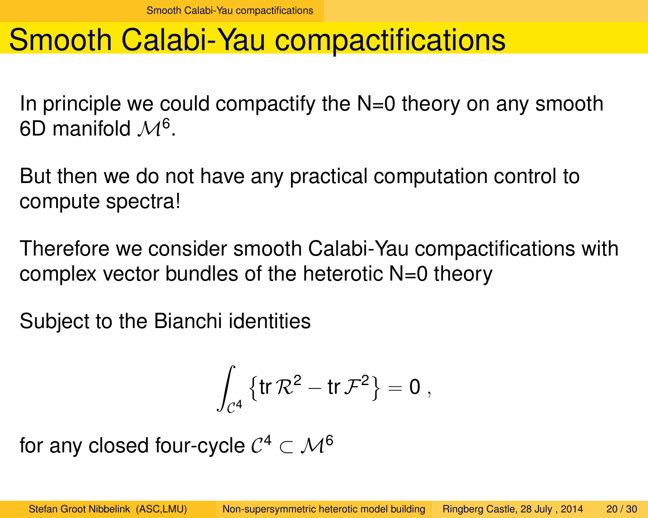#### Smooth Calabi-Yau compactifications

In principle we could compactify the  $N=0$  theory on any smooth 6D manifold  $\mathcal{M}^6$ .

But then we do not have any practical computation control to compute spectra!

Therefore we consider smooth Calabi-Yau compactifications with complex vector bundles of the heterotic N=0 theory

Subject to the Bianchi identities

<span id="page-19-0"></span>
$$
\int_{\mathcal C^4} \left\{ \mathop{ \textrm tr} \mathcal R^2 - \mathop{ \textrm tr} \mathcal F^2 \right\} = 0 \ ,
$$

for any closed four-cycle  $\mathcal{C}^4\subset \mathcal{M}^6$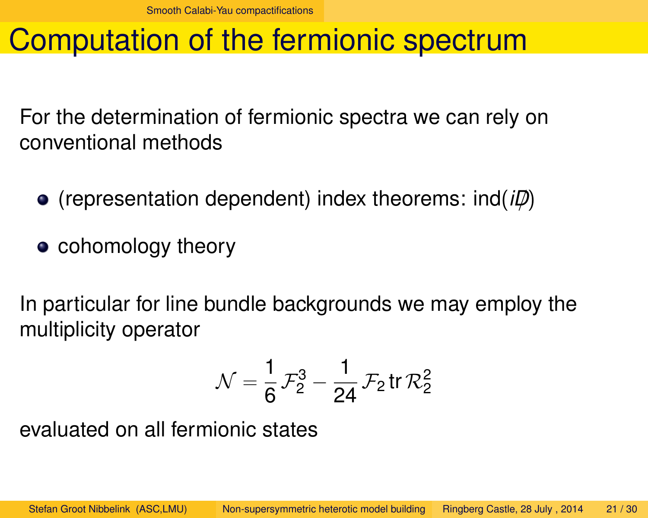## Computation of the fermionic spectrum

For the determination of fermionic spectra we can rely on conventional methods

- (representation dependent) index theorems: ind(*iD*/)
- cohomology theory

In particular for line bundle backgrounds we may employ the multiplicity operator

<span id="page-20-0"></span>
$$
\mathcal{N} = \frac{1}{6} \mathcal{F}_2^3 - \frac{1}{24} \mathcal{F}_2 \text{ tr } \mathcal{R}_2^2
$$

evaluated on all fermionic states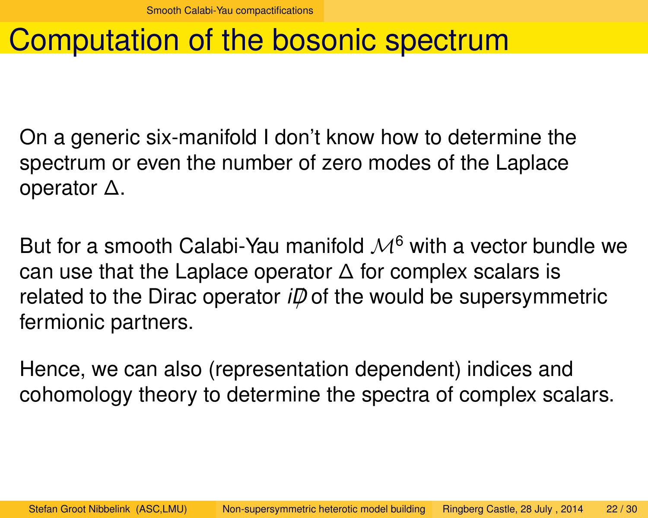#### Computation of the bosonic spectrum

On a generic six-manifold I don't know how to determine the spectrum or even the number of zero modes of the Laplace operator ∆.

But for a smooth Calabi-Yau manifold  $M^6$  with a vector bundle we can use that the Laplace operator  $\Delta$  for complex scalars is related to the Dirac operator  $i\mathcal{D}$  of the would be supersymmetric fermionic partners.

<span id="page-21-0"></span>Hence, we can also (representation dependent) indices and cohomology theory to determine the spectra of complex scalars.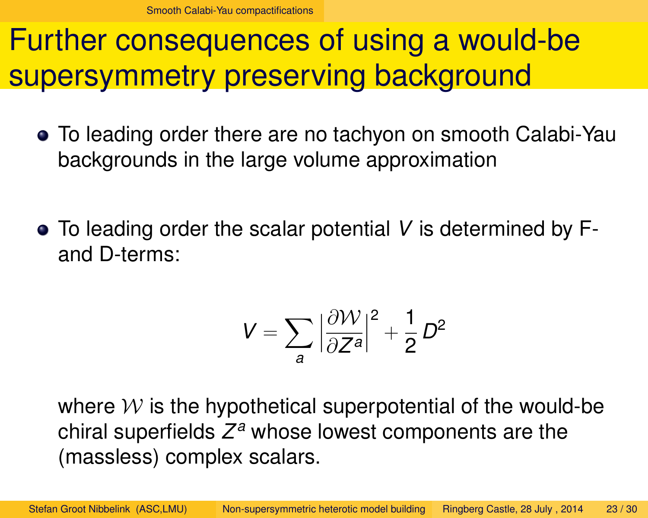#### Further consequences of using a would-be supersymmetry preserving background

- To leading order there are no tachyon on smooth Calabi-Yau backgrounds in the large volume approximation
- To leading order the scalar potential *V* is determined by Fand D-terms:

<span id="page-22-0"></span>
$$
V=\sum_{a}\Big|\frac{\partial \mathcal{W}}{\partial Z^{a}}\Big|^{2}+\frac{1}{2}\,D^{2}
$$

where  $W$  is the hypothetical superpotential of the would-be chiral superfields *Z <sup>a</sup>* whose lowest components are the (massless) complex scalars.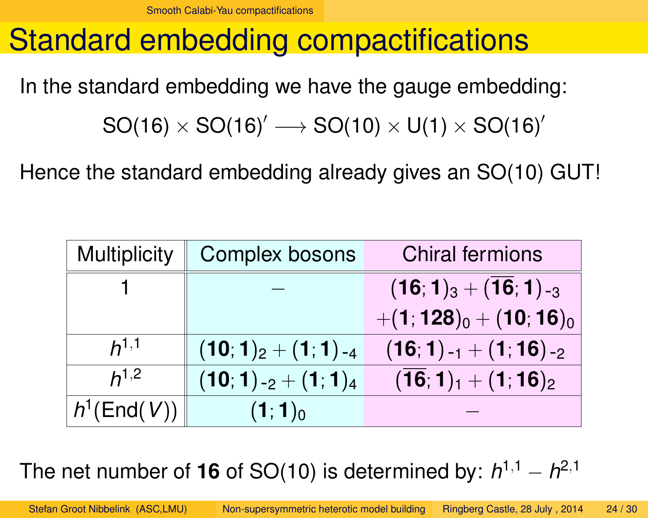#### Standard embedding compactifications

In the standard embedding we have the gauge embedding:

 $SO(16) \times SO(16)' \longrightarrow SO(10) \times U(1) \times SO(16)'$ 

Hence the standard embedding already gives an SO(10) GUT!

| <b>Multiplicity</b>  | <b>Complex bosons</b>     | <b>Chiral fermions</b>                                   |
|----------------------|---------------------------|----------------------------------------------------------|
|                      |                           | $(16; 1)_3 + (16; 1)_{-3}$                               |
|                      |                           | $+(1;128)_0+(10;16)_0$                                   |
| $h^{1,1}$            | $(10; 1)_2 + (1; 1)_{-4}$ | $(16; 1)$ <sub>-1</sub> + $(1; 16)$ <sub>-2</sub>        |
| $h^{1,2}$            | $(10; 1)_{-2} + (1; 1)_4$ | $(\overline{\bf 16}; {\bf 1})_1 + ({\bf 1}; {\bf 16})_2$ |
| $h^1(\text{End}(V))$ | $(1, 1)_0$                |                                                          |

The net number of 16 of SO(10) is determined by:  $h^{1,1} - h^{2,1}$ 

<span id="page-23-0"></span>Stefan Groot Nibbelink (ASC,LMU) [Non-supersymmetric heterotic model building](#page-0-0) Ringberg Castle, 28 July , 2014 24 / 30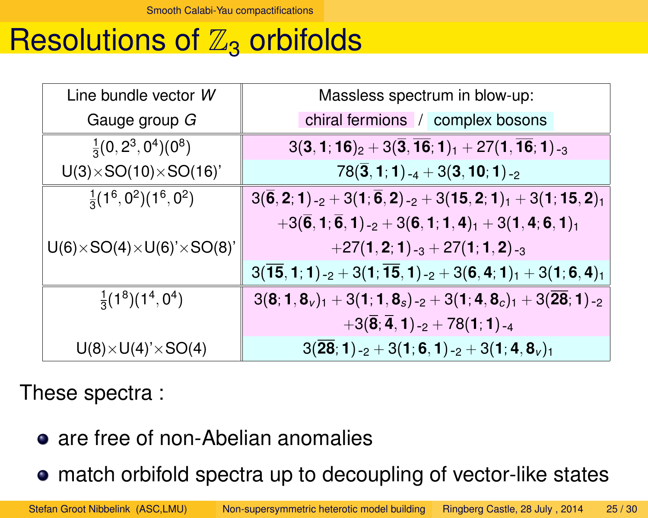#### Resolutions of  $\mathbb{Z}_3$  orbifolds

| Line bundle vector W                        | Massless spectrum in blow-up:                                                                                  |  |  |
|---------------------------------------------|----------------------------------------------------------------------------------------------------------------|--|--|
| Gauge group G                               | chiral fermions / complex bosons                                                                               |  |  |
| $\frac{1}{3}(0, 2^3, 0^4)(0^8)$             | $3(3, 1, 16)_2 + 3(\overline{3}, \overline{16}; 1)_1 + 27(1, \overline{16}; 1)_{-3}$                           |  |  |
| $U(3)\times SO(10)\times SO(16)$            | $78(3,1;1)$ -4 + 3(3, 10; 1) -2                                                                                |  |  |
| $\frac{1}{3}(1^6, 0^2)(1^6, 0^2)$           | $3(\overline{6}, 2; 1)$ -2 + 3(1; $\overline{6}$ , 2) -2 + 3(15, 2; 1) <sub>1</sub> + 3(1; 15, 2) <sub>1</sub> |  |  |
|                                             | $+3(\overline{6},1;\overline{6},1)$ -2 + 3(6, 1; 1, 4) <sub>1</sub> + 3(1, 4; 6, 1) <sub>1</sub>               |  |  |
| $U(6)\times SO(4)\times U(6)'\times SO(8)'$ | $+27(1,2;1)$ -3 + 27(1; 1, 2)-3                                                                                |  |  |
|                                             | $3(15,1;1)_{-2} + 3(1;15,1)_{-2} + 3(6,4;1)_{1} + 3(1;6,4)_{1}$                                                |  |  |
| $\frac{1}{3}(1^8)(1^4, 0^4)$                | $3(8; 1, 8_v)_1 + 3(1; 1, 8_s)_{-2} + 3(1; 4, 8_c)_1 + 3(28; 1)_{-2}$                                          |  |  |
|                                             | $+3({\bf \overline{8}};{\bf \overline{4}}, {\bf 1})_{-2}+78({\bf 1};{\bf 1})_{-4}$                             |  |  |
| $U(8) \times U(4)' \times SO(4)$            | $3(28; 1)$ -2 + 3(1; 6, 1)-2 + 3(1; 4, 8 <sub>v</sub> ) <sub>1</sub>                                           |  |  |

These spectra :

o are free of non-Abelian anomalies

<span id="page-24-0"></span>match orbifold spectra up to decoupling of vector-like states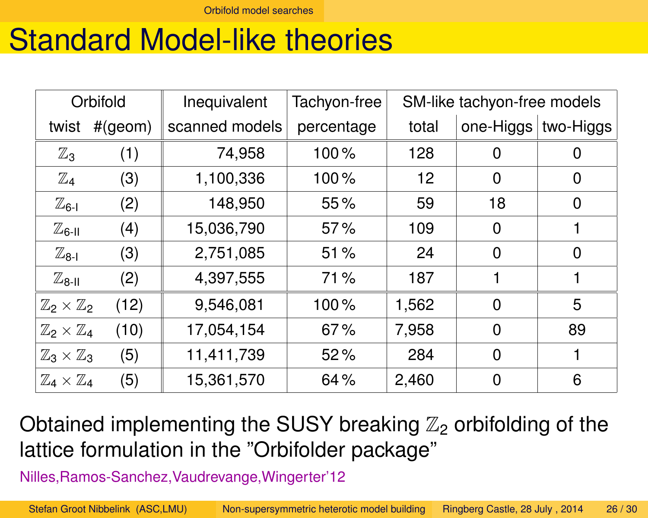[Orbifold model searches](#page-25-0)

#### Standard Model-like theories

| Orbifold                         |         | Inequivalent   | Tachyon-free | SM-like tachyon-free models |                       |                |
|----------------------------------|---------|----------------|--------------|-----------------------------|-----------------------|----------------|
| twist                            | #(geom) | scanned models | percentage   | total                       | one-Higgs   two-Higgs |                |
| $\mathbb{Z}_3$                   | (1)     | 74,958         | 100%         | 128                         | 0                     | Ő              |
| $\mathbb{Z}_4$                   | (3)     | 1,100,336      | 100%         | 12                          | $\Omega$              | $\overline{0}$ |
| $\mathbb{Z}_{6\text{-}1}$        | (2)     | 148,950        | 55%          | 59                          | 18                    | $\overline{0}$ |
| $\mathbb{Z}_\mathsf{6-II}$       | (4)     | 15,036,790     | 57%          | 109                         | $\overline{0}$        |                |
| $\mathbb{Z}_{8\text{-}1}$        | (3)     | 2,751,085      | 51%          | 24                          | $\overline{0}$        | $\overline{0}$ |
| $\mathbb{Z}_{8-I}$               | (2)     | 4,397,555      | 71%          | 187                         |                       |                |
| $\mathbb{Z}_2\times\mathbb{Z}_2$ | (12)    | 9,546,081      | 100%         | 1,562                       | $\Omega$              | 5              |
| $\mathbb{Z}_2\times\mathbb{Z}_4$ | (10)    | 17,054,154     | 67%          | 7,958                       | $\Omega$              | 89             |
| $\mathbb{Z}_3\times\mathbb{Z}_3$ | (5)     | 11,411,739     | 52%          | 284                         | $\overline{0}$        |                |
| $\mathbb{Z}_4\times\mathbb{Z}_4$ | (5)     | 15,361,570     | 64%          | 2,460                       | 0                     | 6              |

Obtained implementing the SUSY breaking  $\mathbb{Z}_2$  orbifolding of the lattice formulation in the "Orbifolder package"

<span id="page-25-0"></span>Nilles,Ramos-Sanchez,Vaudrevange,Wingerter'12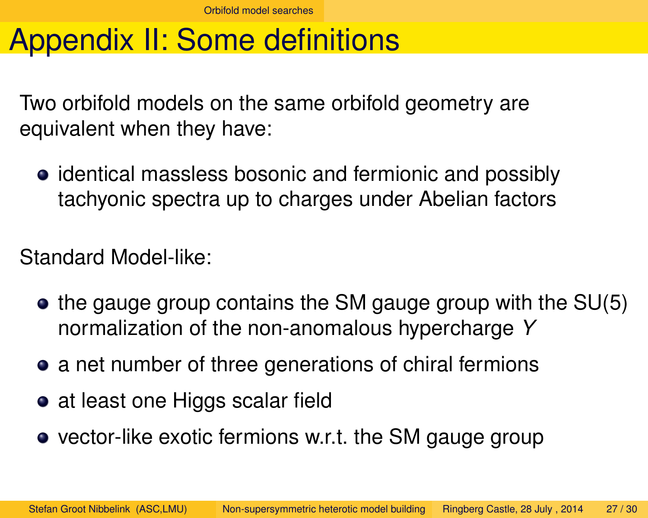### Appendix II: Some definitions

Two orbifold models on the same orbifold geometry are equivalent when they have:

identical massless bosonic and fermionic and possibly tachyonic spectra up to charges under Abelian factors

Standard Model-like:

- $\bullet$  the gauge group contains the SM gauge group with the SU(5) normalization of the non-anomalous hypercharge *Y*
- **•** a net number of three generations of chiral fermions
- at least one Higgs scalar field
- <span id="page-26-0"></span>• vector-like exotic fermions w.r.t. the SM gauge group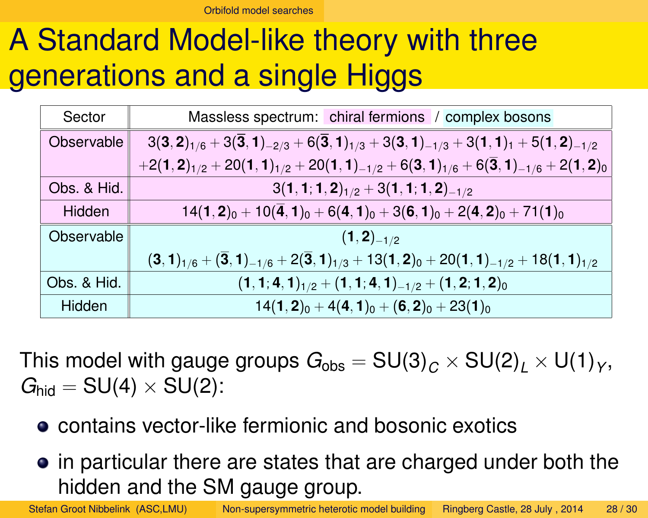[Orbifold model searches](#page-27-0)

# A Standard Model-like theory with three generations and a single Higgs

| Sector      | Massless spectrum: chiral fermions / complex bosons                                                                                          |  |  |  |
|-------------|----------------------------------------------------------------------------------------------------------------------------------------------|--|--|--|
| Observable  | $3(3,2)_{1/6}$ + 3(3, 1) <sub>-2/3</sub> + 6(3, 1) <sub>1/3</sub> + 3(3, 1) <sub>-1/3</sub> + 3(1, 1) <sub>1</sub> + 5(1, 2) <sub>-1/2</sub> |  |  |  |
|             | $+2(1,2)_{1/2}+20(1,1)_{1/2}+20(1,1)_{-1/2}+6(3,1)_{1/6}+6(3,1)_{-1/6}+2(1,2)_{0}$                                                           |  |  |  |
| Obs. & Hid. | $3(1, 1; 1, 2)_{1/2} + 3(1, 1; 1, 2)_{-1/2}$                                                                                                 |  |  |  |
| Hidden      | $14(1,2)_0 + 10(\overline{4},1)_0 + 6(4,1)_0 + 3(6,1)_0 + 2(4,2)_0 + 71(1)_0$                                                                |  |  |  |
| Observable  | $(1,2)_{-1/2}$                                                                                                                               |  |  |  |
|             | $(3, 1)_{1/6}$ + $(\overline{3}, 1)_{-1/6}$ + $2(\overline{3}, 1)_{1/3}$ + 13 $(1, 2)_0$ + 20 $(1, 1)_{-1/2}$ + 18 $(1, 1)_{1/2}$            |  |  |  |
| Obs. & Hid. | $(1, 1; 4, 1)_{1/2} + (1, 1; 4, 1)_{-1/2} + (1, 2; 1, 2)_{0}$                                                                                |  |  |  |
| Hidden      | $14(1,2)_0 + 4(4,1)_0 + (6,2)_0 + 23(1)_0$                                                                                                   |  |  |  |

This model with gauge groups  $G_{\rm obs} = {\rm SU(3)}_C \times {\rm SU(2)}_L \times {\rm U(1)}_Y,$  $G_{\text{hid}} = SU(4) \times SU(2)$ :

- **contains vector-like fermionic and bosonic exotics**
- <span id="page-27-0"></span>• in particular there are states that are charged under both the hidden and the SM gauge group.

Stefan Groot Nibbelink (ASC,LMU) [Non-supersymmetric heterotic model building](#page-0-0) Ringberg Castle, 28 July , 2014 28 / 30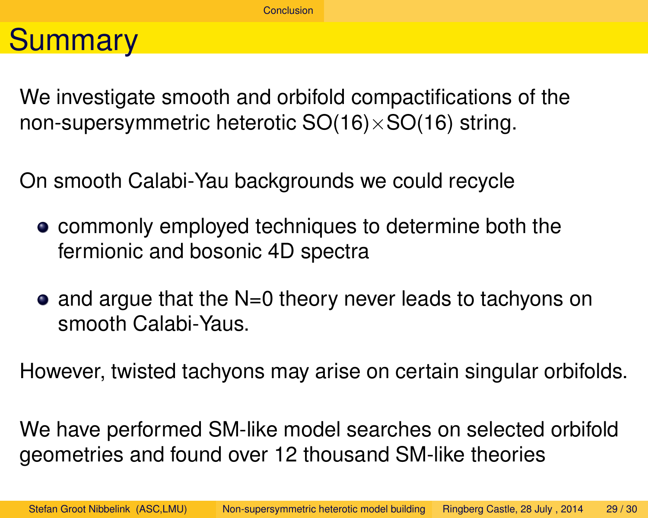#### **Summary**

We investigate smooth and orbifold compactifications of the non-supersymmetric heterotic  $SO(16)\times SO(16)$  string.

On smooth Calabi-Yau backgrounds we could recycle

- **commonly employed techniques to determine both the** fermionic and bosonic 4D spectra
- $\bullet$  and argue that the N=0 theory never leads to tachyons on smooth Calabi-Yaus.

However, twisted tachyons may arise on certain singular orbifolds.

<span id="page-28-0"></span>We have performed SM-like model searches on selected orbifold geometries and found over 12 thousand SM-like theories